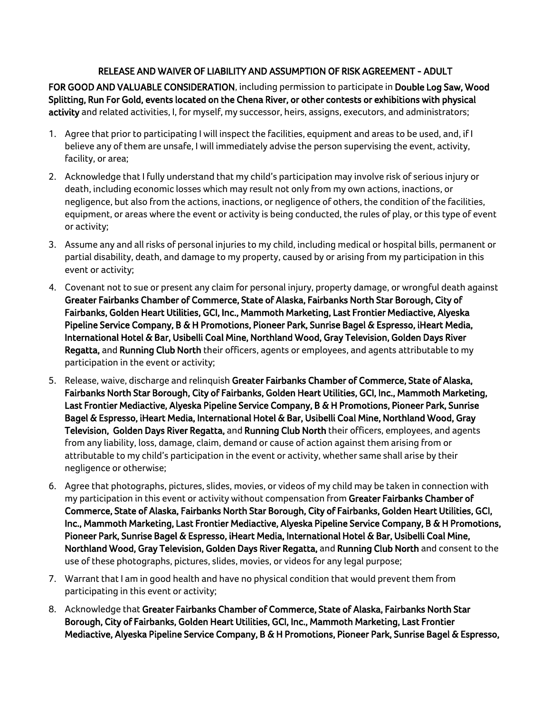## RELEASE AND WAIVER OF LIABILITY AND ASSUMPTION OF RISK AGREEMENT - ADULT

FOR GOOD AND VALUABLE CONSIDERATION, including permission to participate in Double Log Saw, Wood Splitting, Run For Gold, events located on the Chena River, or other contests or exhibitions with physical activity and related activities, I, for myself, my successor, heirs, assigns, executors, and administrators;

- 1. Agree that prior to participating I will inspect the facilities, equipment and areas to be used, and, if I believe any of them are unsafe, I will immediately advise the person supervising the event, activity, facility, or area;
- 2. Acknowledge that I fully understand that my child's participation may involve risk of serious injury or death, including economic losses which may result not only from my own actions, inactions, or negligence, but also from the actions, inactions, or negligence of others, the condition of the facilities, equipment, or areas where the event or activity is being conducted, the rules of play, or this type of event or activity;
- 3. Assume any and all risks of personal injuries to my child, including medical or hospital bills, permanent or partial disability, death, and damage to my property, caused by or arising from my participation in this event or activity;
- 4. Covenant not to sue or present any claim for personal injury, property damage, or wrongful death against Greater Fairbanks Chamber of Commerce, State of Alaska, Fairbanks North Star Borough, City of Fairbanks, Golden Heart Utilities, GCI, Inc., Mammoth Marketing, Last Frontier Mediactive, Alyeska Pipeline Service Company, B & H Promotions, Pioneer Park, Sunrise Bagel & Espresso, iHeart Media, International Hotel & Bar, Usibelli Coal Mine, Northland Wood, Gray Television, Golden Days River Regatta, and Running Club North their officers, agents or employees, and agents attributable to my participation in the event or activity;
- 5. Release, waive, discharge and relinquish Greater Fairbanks Chamber of Commerce, State of Alaska, Fairbanks North Star Borough, City of Fairbanks, Golden Heart Utilities, GCI, Inc., Mammoth Marketing, Last Frontier Mediactive, Alyeska Pipeline Service Company, B & H Promotions, Pioneer Park, Sunrise Bagel & Espresso, iHeart Media, International Hotel & Bar, Usibelli Coal Mine, Northland Wood, Gray Television, Golden Days River Regatta, and Running Club North their officers, employees, and agents from any liability, loss, damage, claim, demand or cause of action against them arising from or attributable to my child's participation in the event or activity, whether same shall arise by their negligence or otherwise;
- 6. Agree that photographs, pictures, slides, movies, or videos of my child may be taken in connection with my participation in this event or activity without compensation from Greater Fairbanks Chamber of Commerce, State of Alaska, Fairbanks North Star Borough, City of Fairbanks, Golden Heart Utilities, GCI, Inc., Mammoth Marketing, Last Frontier Mediactive, Alyeska Pipeline Service Company, B & H Promotions, Pioneer Park, Sunrise Bagel & Espresso, iHeart Media, International Hotel & Bar, Usibelli Coal Mine, Northland Wood, Gray Television, Golden Days River Regatta, and Running Club North and consent to the use of these photographs, pictures, slides, movies, or videos for any legal purpose;
- 7. Warrant that I am in good health and have no physical condition that would prevent them from participating in this event or activity;
- 8. Acknowledge that Greater Fairbanks Chamber of Commerce, State of Alaska, Fairbanks North Star Borough, City of Fairbanks, Golden Heart Utilities, GCI, Inc., Mammoth Marketing, Last Frontier Mediactive, Alyeska Pipeline Service Company, B & H Promotions, Pioneer Park, Sunrise Bagel & Espresso,